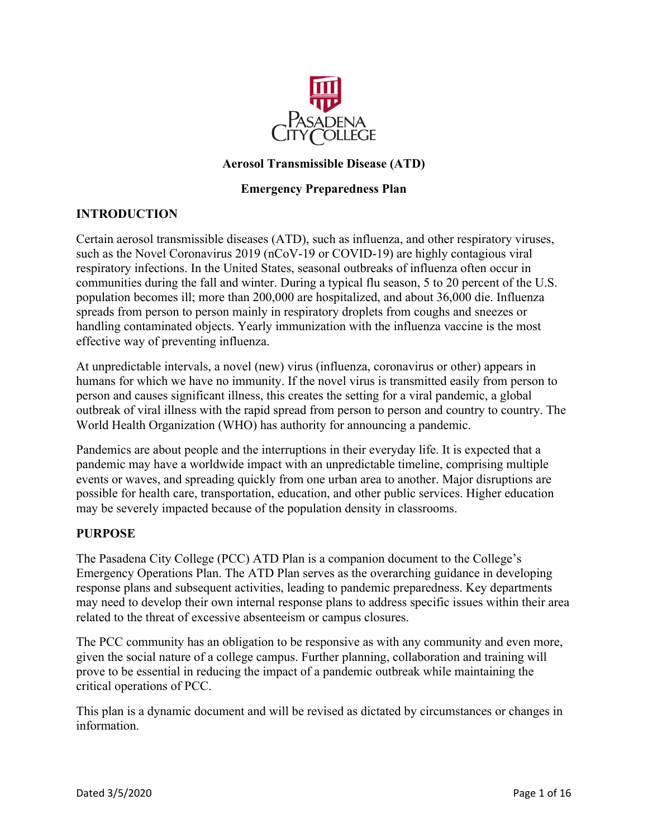

# **Aerosol Transmissible Disease (ATD)**

# **Emergency Preparedness Plan**

# **INTRODUCTION**

Certain aerosol transmissible diseases (ATD), such as influenza, and other respiratory viruses, such as the Novel Coronavirus 2019 (nCoV-19 or COVID-19) are highly contagious viral respiratory infections. In the United States, seasonal outbreaks of influenza often occur in communities during the fall and winter. During a typical flu season, 5 to 20 percent of the U.S. population becomes ill; more than 200,000 are hospitalized, and about 36,000 die. Influenza spreads from person to person mainly in respiratory droplets from coughs and sneezes or handling contaminated objects. Yearly immunization with the influenza vaccine is the most effective way of preventing influenza.

 At unpredictable intervals, a novel (new) virus (influenza, coronavirus or other) appears in person and causes significant illness, this creates the setting for a viral pandemic, a global humans for which we have no immunity. If the novel virus is transmitted easily from person to outbreak of viral illness with the rapid spread from person to person and country to country. The World Health Organization (WHO) has authority for announcing a pandemic.

Pandemics are about people and the interruptions in their everyday life. It is expected that a pandemic may have a worldwide impact with an unpredictable timeline, comprising multiple events or waves, and spreading quickly from one urban area to another. Major disruptions are possible for health care, transportation, education, and other public services. Higher education may be severely impacted because of the population density in classrooms.

# **PURPOSE**

The Pasadena City College (PCC) ATD Plan is a companion document to the College's Emergency Operations Plan. The ATD Plan serves as the overarching guidance in developing response plans and subsequent activities, leading to pandemic preparedness. Key departments may need to develop their own internal response plans to address specific issues within their area related to the threat of excessive absenteeism or campus closures.

The PCC community has an obligation to be responsive as with any community and even more, given the social nature of a college campus. Further planning, collaboration and training will prove to be essential in reducing the impact of a pandemic outbreak while maintaining the critical operations of PCC.

This plan is a dynamic document and will be revised as dictated by circumstances or changes in information.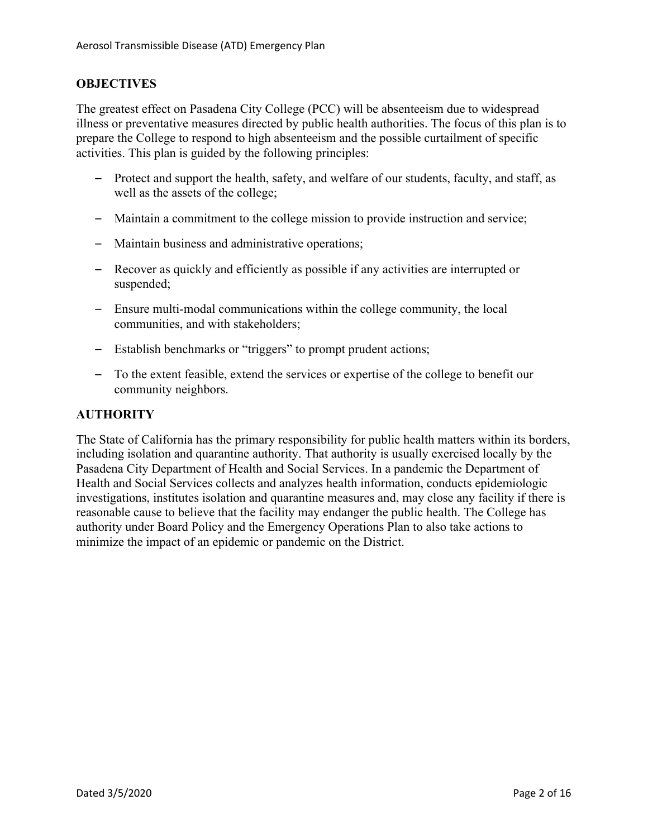# **OBJECTIVES**

The greatest effect on Pasadena City College (PCC) will be absenteeism due to widespread illness or preventative measures directed by public health authorities. The focus of this plan is to prepare the College to respond to high absenteeism and the possible curtailment of specific activities. This plan is guided by the following principles:

- Protect and support the health, safety, and welfare of our students, faculty, and staff, as well as the assets of the college;
- Maintain a commitment to the college mission to provide instruction and service;
- Maintain business and administrative operations;
- Recover as quickly and efficiently as possible if any activities are interrupted or suspended;
- Ensure multi-modal communications within the college community, the local communities, and with stakeholders;
- Establish benchmarks or "triggers" to prompt prudent actions;
- To the extent feasible, extend the services or expertise of the college to benefit our community neighbors.

# **AUTHORITY**

The State of California has the primary responsibility for public health matters within its borders, including isolation and quarantine authority. That authority is usually exercised locally by the Pasadena City Department of Health and Social Services. In a pandemic the Department of Health and Social Services collects and analyzes health information, conducts epidemiologic investigations, institutes isolation and quarantine measures and, may close any facility if there is reasonable cause to believe that the facility may endanger the public health. The College has authority under Board Policy and the Emergency Operations Plan to also take actions to minimize the impact of an epidemic or pandemic on the District.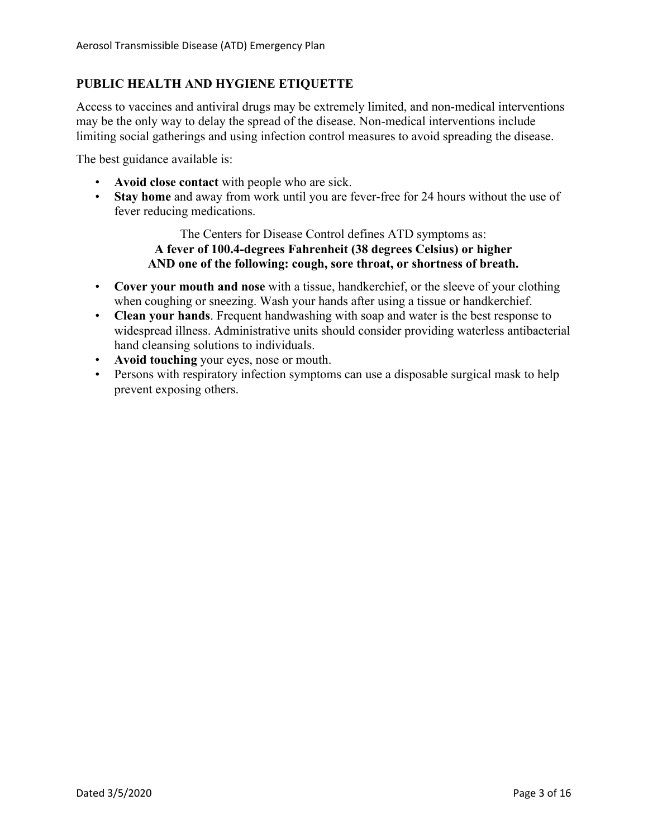# **PUBLIC HEALTH AND HYGIENE ETIQUETTE**

Access to vaccines and antiviral drugs may be extremely limited, and non-medical interventions may be the only way to delay the spread of the disease. Non-medical interventions include limiting social gatherings and using infection control measures to avoid spreading the disease.

The best guidance available is:

- **Avoid close contact** with people who are sick.
- **Stay home** and away from work until you are fever-free for 24 hours without the use of fever reducing medications.

A fever of 100.4-degrees Fahrenheit (38 degrees Celsius) or higher The Centers for Disease Control defines ATD symptoms as: AND one of the following: cough, sore throat, or shortness of breath.

- when coughing or sneezing. Wash your hands after using a tissue or handkerchief. • **Cover your mouth and nose** with a tissue, handkerchief, or the sleeve of your clothing
- **Clean your hands**. Frequent handwashing with soap and water is the best response to widespread illness. Administrative units should consider providing waterless antibacterial hand cleansing solutions to individuals.
- **Avoid touching** your eyes, nose or mouth.
- Persons with respiratory infection symptoms can use a disposable surgical mask to help prevent exposing others.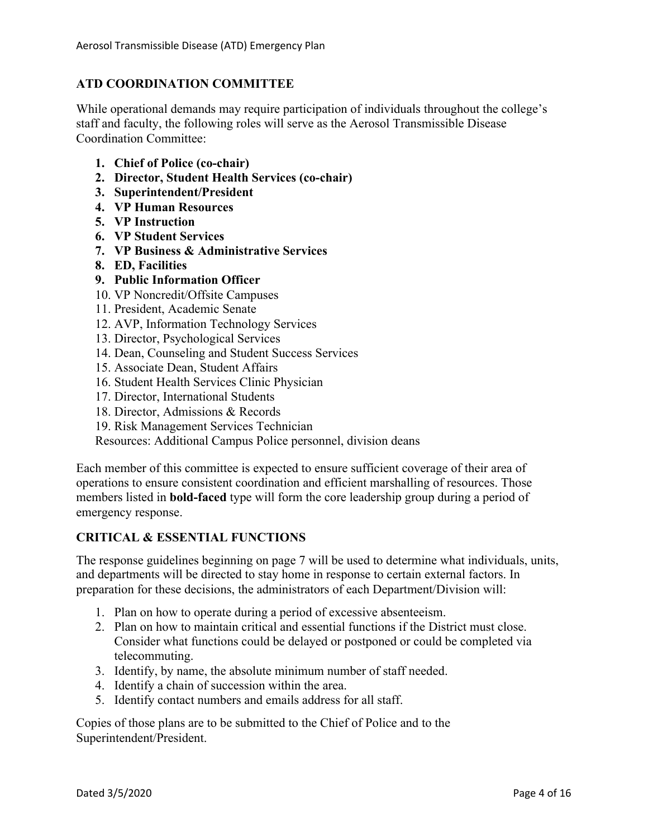# **ATD COORDINATION COMMITTEE**

While operational demands may require participation of individuals throughout the college's staff and faculty, the following roles will serve as the Aerosol Transmissible Disease Coordination Committee:

- **1. Chief of Police (co-chair)**
- **2. Director, Student Health Services (co-chair)**
- **3. Superintendent/President**
- **4. VP Human Resources**
- **5. VP Instruction**
- **6. VP Student Services**
- **7. VP Business & Administrative Services**
- **8. ED, Facilities**
- **9. Public Information Officer**
- 10. VP Noncredit/Offsite Campuses
- 11. President, Academic Senate
- 12. AVP, Information Technology Services
- 13. Director, Psychological Services
- 14. Dean, Counseling and Student Success Services
- 15. Associate Dean, Student Affairs
- 16. Student Health Services Clinic Physician
- 17. Director, International Students
- 18. Director, Admissions & Records
- 19. Risk Management Services Technician

Resources: Additional Campus Police personnel, division deans

Each member of this committee is expected to ensure sufficient coverage of their area of operations to ensure consistent coordination and efficient marshalling of resources. Those members listed in **bold-faced** type will form the core leadership group during a period of emergency response.

# **CRITICAL & ESSENTIAL FUNCTIONS**

The response guidelines beginning on page 7 will be used to determine what individuals, units, and departments will be directed to stay home in response to certain external factors. In preparation for these decisions, the administrators of each Department/Division will:

- 1. Plan on how to operate during a period of excessive absenteeism.
- 2. Plan on how to maintain critical and essential functions if the District must close. Consider what functions could be delayed or postponed or could be completed via telecommuting.
- 3. Identify, by name, the absolute minimum number of staff needed.
- 4. Identify a chain of succession within the area.
- 5. Identify contact numbers and emails address for all staff.

Copies of those plans are to be submitted to the Chief of Police and to the Superintendent/President.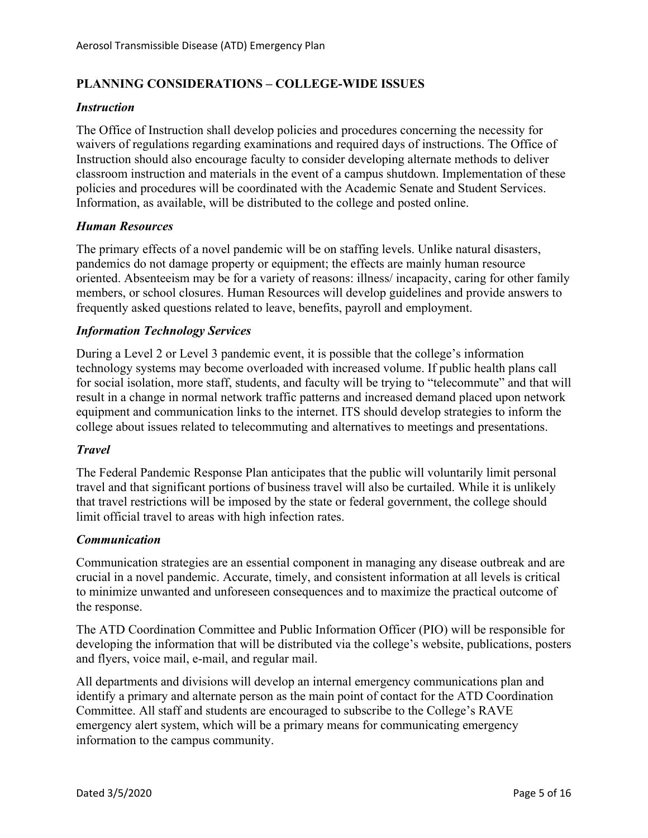# **PLANNING CONSIDERATIONS – COLLEGE-WIDE ISSUES**

# *Instruction*

The Office of Instruction shall develop policies and procedures concerning the necessity for waivers of regulations regarding examinations and required days of instructions. The Office of Instruction should also encourage faculty to consider developing alternate methods to deliver classroom instruction and materials in the event of a campus shutdown. Implementation of these policies and procedures will be coordinated with the Academic Senate and Student Services. Information, as available, will be distributed to the college and posted online.

# *Human Resources*

The primary effects of a novel pandemic will be on staffing levels. Unlike natural disasters, pandemics do not damage property or equipment; the effects are mainly human resource oriented. Absenteeism may be for a variety of reasons: illness/ incapacity, caring for other family members, or school closures. Human Resources will develop guidelines and provide answers to frequently asked questions related to leave, benefits, payroll and employment.

# *Information Technology Services*

During a Level 2 or Level 3 pandemic event, it is possible that the college's information technology systems may become overloaded with increased volume. If public health plans call for social isolation, more staff, students, and faculty will be trying to "telecommute" and that will result in a change in normal network traffic patterns and increased demand placed upon network equipment and communication links to the internet. ITS should develop strategies to inform the college about issues related to telecommuting and alternatives to meetings and presentations.

# *Travel*

The Federal Pandemic Response Plan anticipates that the public will voluntarily limit personal travel and that significant portions of business travel will also be curtailed. While it is unlikely that travel restrictions will be imposed by the state or federal government, the college should limit official travel to areas with high infection rates.

# *Communication*

Communication strategies are an essential component in managing any disease outbreak and are crucial in a novel pandemic. Accurate, timely, and consistent information at all levels is critical to minimize unwanted and unforeseen consequences and to maximize the practical outcome of the response.

The ATD Coordination Committee and Public Information Officer (PIO) will be responsible for developing the information that will be distributed via the college's website, publications, posters and flyers, voice mail, e-mail, and regular mail.

All departments and divisions will develop an internal emergency communications plan and identify a primary and alternate person as the main point of contact for the ATD Coordination Committee. All staff and students are encouraged to subscribe to the College's RAVE emergency alert system, which will be a primary means for communicating emergency information to the campus community.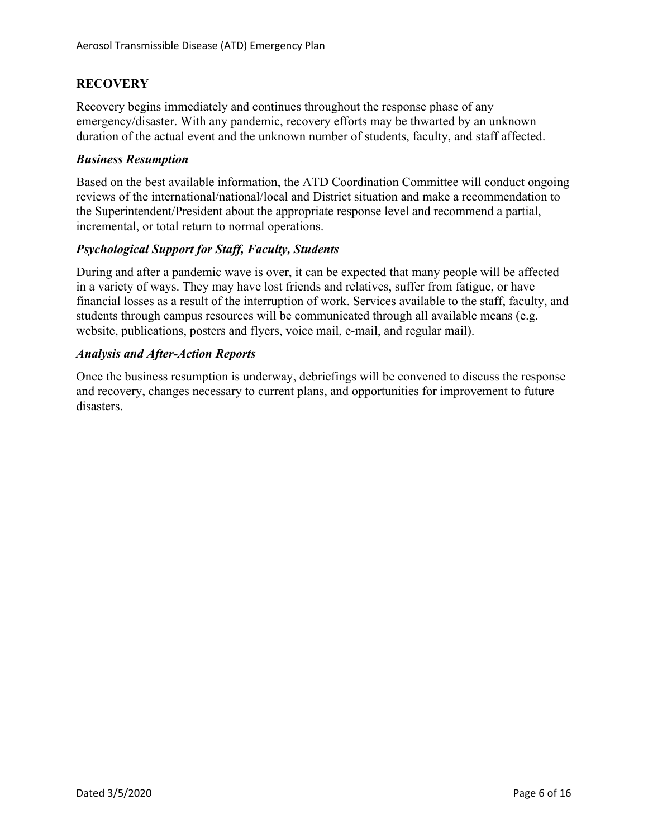# **RECOVERY**

 duration of the actual event and the unknown number of students, faculty, and staff affected. Recovery begins immediately and continues throughout the response phase of any emergency/disaster. With any pandemic, recovery efforts may be thwarted by an unknown

# *Business Resumption*

Based on the best available information, the ATD Coordination Committee will conduct ongoing reviews of the international/national/local and District situation and make a recommendation to the Superintendent/President about the appropriate response level and recommend a partial, incremental, or total return to normal operations.

# *Psychological Support for Staff, Faculty, Students*

During and after a pandemic wave is over, it can be expected that many people will be affected in a variety of ways. They may have lost friends and relatives, suffer from fatigue, or have financial losses as a result of the interruption of work. Services available to the staff, faculty, and students through campus resources will be communicated through all available means (e.g. website, publications, posters and flyers, voice mail, e-mail, and regular mail).

# *Analysis and After-Action Reports*

Once the business resumption is underway, debriefings will be convened to discuss the response and recovery, changes necessary to current plans, and opportunities for improvement to future disasters.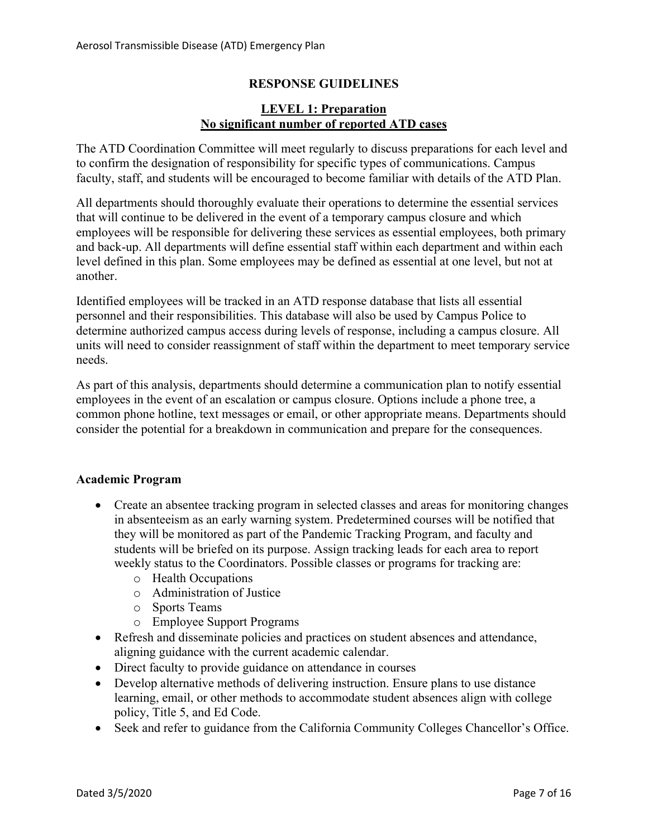# **RESPONSE GUIDELINES**

# **LEVEL 1: Preparation No significant number of reported ATD cases**

The ATD Coordination Committee will meet regularly to discuss preparations for each level and to confirm the designation of responsibility for specific types of communications. Campus faculty, staff, and students will be encouraged to become familiar with details of the ATD Plan.

All departments should thoroughly evaluate their operations to determine the essential services that will continue to be delivered in the event of a temporary campus closure and which employees will be responsible for delivering these services as essential employees, both primary and back-up. All departments will define essential staff within each department and within each level defined in this plan. Some employees may be defined as essential at one level, but not at another.

 determine authorized campus access during levels of response, including a campus closure. All Identified employees will be tracked in an ATD response database that lists all essential personnel and their responsibilities. This database will also be used by Campus Police to units will need to consider reassignment of staff within the department to meet temporary service needs.

As part of this analysis, departments should determine a communication plan to notify essential employees in the event of an escalation or campus closure. Options include a phone tree, a common phone hotline, text messages or email, or other appropriate means. Departments should consider the potential for a breakdown in communication and prepare for the consequences.

# **Academic Program**

- they will be monitored as part of the Pandemic Tracking Program, and faculty and • Create an absentee tracking program in selected classes and areas for monitoring changes in absenteeism as an early warning system. Predetermined courses will be notified that students will be briefed on its purpose. Assign tracking leads for each area to report weekly status to the Coordinators. Possible classes or programs for tracking are:
	- o Health Occupations
	- o Administration of Justice
	- o Sports Teams
	- o Employee Support Programs
- Refresh and disseminate policies and practices on student absences and attendance, aligning guidance with the current academic calendar.
- Direct faculty to provide guidance on attendance in courses
- Develop alternative methods of delivering instruction. Ensure plans to use distance learning, email, or other methods to accommodate student absences align with college policy, Title 5, and Ed Code.
- Seek and refer to guidance from the California Community Colleges Chancellor's Office.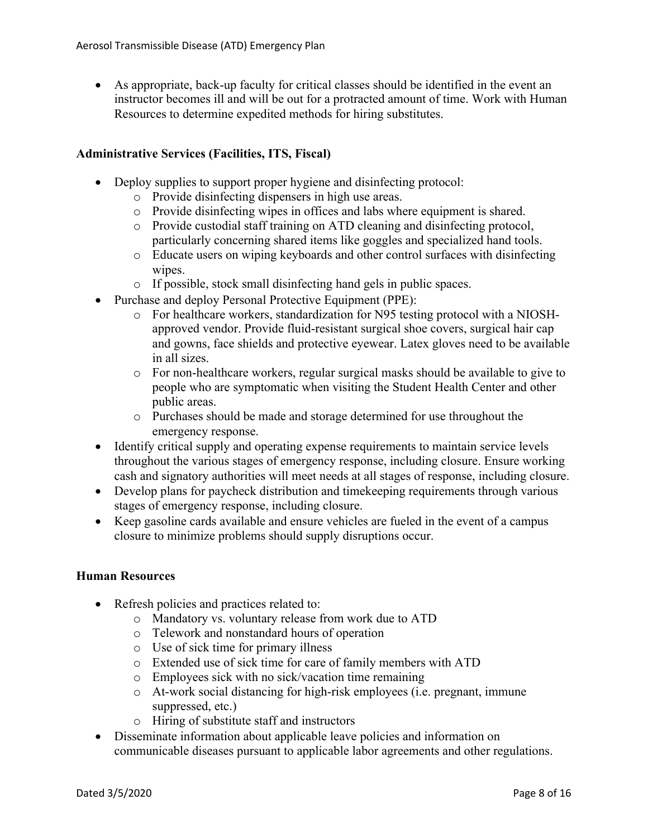• As appropriate, back-up faculty for critical classes should be identified in the event an instructor becomes ill and will be out for a protracted amount of time. Work with Human Resources to determine expedited methods for hiring substitutes.

# **Administrative Services (Facilities, ITS, Fiscal)**

- Deploy supplies to support proper hygiene and disinfecting protocol:
	- o Provide disinfecting dispensers in high use areas.
	- o Provide disinfecting wipes in offices and labs where equipment is shared.
	- o Provide custodial staff training on ATD cleaning and disinfecting protocol, particularly concerning shared items like goggles and specialized hand tools.
	- o Educate users on wiping keyboards and other control surfaces with disinfecting wipes.
	- o If possible, stock small disinfecting hand gels in public spaces.
- Purchase and deploy Personal Protective Equipment (PPE):
	- o For healthcare workers, standardization for N95 testing protocol with a NIOSHapproved vendor. Provide fluid-resistant surgical shoe covers, surgical hair cap and gowns, face shields and protective eyewear. Latex gloves need to be available in all sizes.
	- o For non-healthcare workers, regular surgical masks should be available to give to people who are symptomatic when visiting the Student Health Center and other public areas.
	- o Purchases should be made and storage determined for use throughout the emergency response.
- Identify critical supply and operating expense requirements to maintain service levels throughout the various stages of emergency response, including closure. Ensure working cash and signatory authorities will meet needs at all stages of response, including closure.
- Develop plans for paycheck distribution and timekeeping requirements through various stages of emergency response, including closure.
- Keep gasoline cards available and ensure vehicles are fueled in the event of a campus closure to minimize problems should supply disruptions occur.

# **Human Resources**

- Refresh policies and practices related to:
	- o Mandatory vs. voluntary release from work due to ATD
	- o Telework and nonstandard hours of operation
	- o Use of sick time for primary illness
	- o Extended use of sick time for care of family members with ATD
	- o Employees sick with no sick/vacation time remaining
	- o At-work social distancing for high-risk employees (i.e. pregnant, immune suppressed, etc.)
	- o Hiring of substitute staff and instructors
- Disseminate information about applicable leave policies and information on communicable diseases pursuant to applicable labor agreements and other regulations.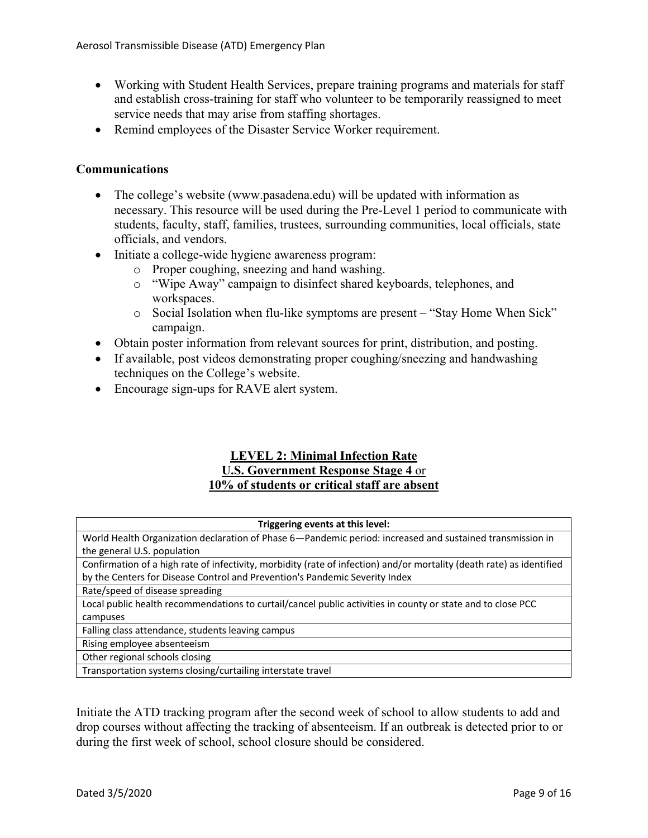- Working with Student Health Services, prepare training programs and materials for staff and establish cross-training for staff who volunteer to be temporarily reassigned to meet service needs that may arise from staffing shortages.
- Remind employees of the Disaster Service Worker requirement.

# **Communications**

- The college's website ([www.pasadena.edu\)](www.pasadena.edu) will be updated with information as necessary. This resource will be used during the Pre-Level 1 period to communicate with students, faculty, staff, families, trustees, surrounding communities, local officials, state officials, and vendors.
- Initiate a college-wide hygiene awareness program:
	- o Proper coughing, sneezing and hand washing.
	- o "Wipe Away" campaign to disinfect shared keyboards, telephones, and workspaces.
	- o Social Isolation when flu-like symptoms are present "Stay Home When Sick" campaign.
- Obtain poster information from relevant sources for print, distribution, and posting.
- If available, post videos demonstrating proper coughing/sneezing and handwashing techniques on the College's website.
- Encourage sign-ups for RAVE alert system.

# **LEVEL 2: Minimal Infection Rate U.S. Government Response Stage 4** or **10% of students or critical staff are absent**

| Triggering events at this level:                                                                                      |
|-----------------------------------------------------------------------------------------------------------------------|
| World Health Organization declaration of Phase 6-Pandemic period: increased and sustained transmission in             |
| the general U.S. population                                                                                           |
| Confirmation of a high rate of infectivity, morbidity (rate of infection) and/or mortality (death rate) as identified |
| by the Centers for Disease Control and Prevention's Pandemic Severity Index                                           |
| Rate/speed of disease spreading                                                                                       |
| Local public health recommendations to curtail/cancel public activities in county or state and to close PCC           |
| campuses                                                                                                              |
| Falling class attendance, students leaving campus                                                                     |
| Rising employee absenteeism                                                                                           |
| Other regional schools closing                                                                                        |
| Transportation systems closing/curtailing interstate travel                                                           |

 during the first week of school, school closure should be considered. Initiate the ATD tracking program after the second week of school to allow students to add and drop courses without affecting the tracking of absenteeism. If an outbreak is detected prior to or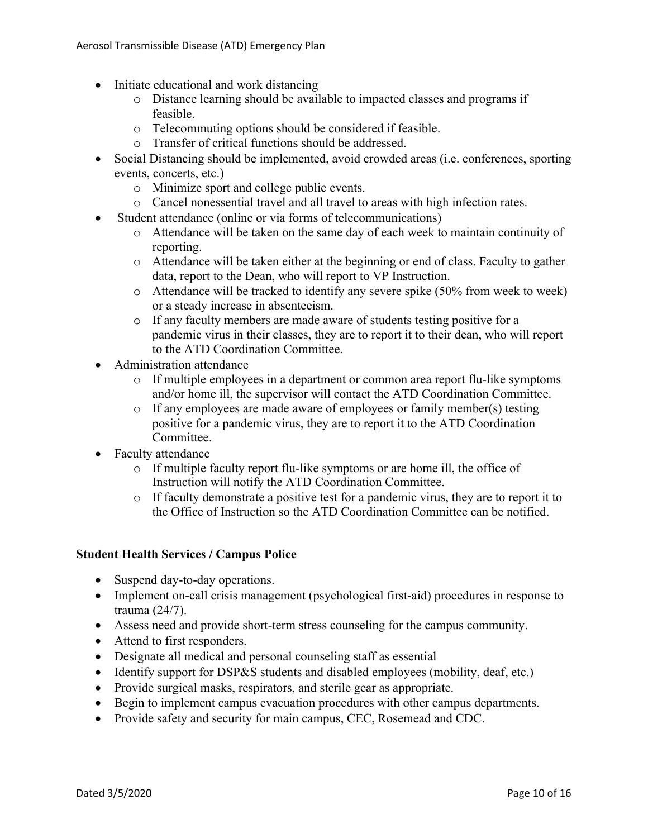- Initiate educational and work distancing
	- o Distance learning should be available to impacted classes and programs if feasible.
	- o Telecommuting options should be considered if feasible.
	- o Transfer of critical functions should be addressed.
- Social Distancing should be implemented, avoid crowded areas (i.e. conferences, sporting events, concerts, etc.)
	- o Minimize sport and college public events.
	- o Cancel nonessential travel and all travel to areas with high infection rates.
- Student attendance (online or via forms of telecommunications)
	- o Attendance will be taken on the same day of each week to maintain continuity of reporting.
	- o Attendance will be taken either at the beginning or end of class. Faculty to gather data, report to the Dean, who will report to VP Instruction.
	- o Attendance will be tracked to identify any severe spike (50% from week to week) or a steady increase in absenteeism.
	- o If any faculty members are made aware of students testing positive for a pandemic virus in their classes, they are to report it to their dean, who will report to the ATD Coordination Committee.
- Administration attendance
	- o If multiple employees in a department or common area report flu-like symptoms and/or home ill, the supervisor will contact the ATD Coordination Committee.
	- o If any employees are made aware of employees or family member(s) testing positive for a pandemic virus, they are to report it to the ATD Coordination Committee.
- Faculty attendance
	- o If multiple faculty report flu-like symptoms or are home ill, the office of Instruction will notify the ATD Coordination Committee.
	- o If faculty demonstrate a positive test for a pandemic virus, they are to report it to the Office of Instruction so the ATD Coordination Committee can be notified.

# **Student Health Services / Campus Police**

- Suspend day-to-day operations.
- Implement on-call crisis management (psychological first-aid) procedures in response to trauma (24/7).
- Assess need and provide short-term stress counseling for the campus community.
- Attend to first responders.
- Designate all medical and personal counseling staff as essential
- Identify support for DSP&S students and disabled employees (mobility, deaf, etc.)
- Provide surgical masks, respirators, and sterile gear as appropriate.
- Begin to implement campus evacuation procedures with other campus departments.
- Provide safety and security for main campus, CEC, Rosemead and CDC.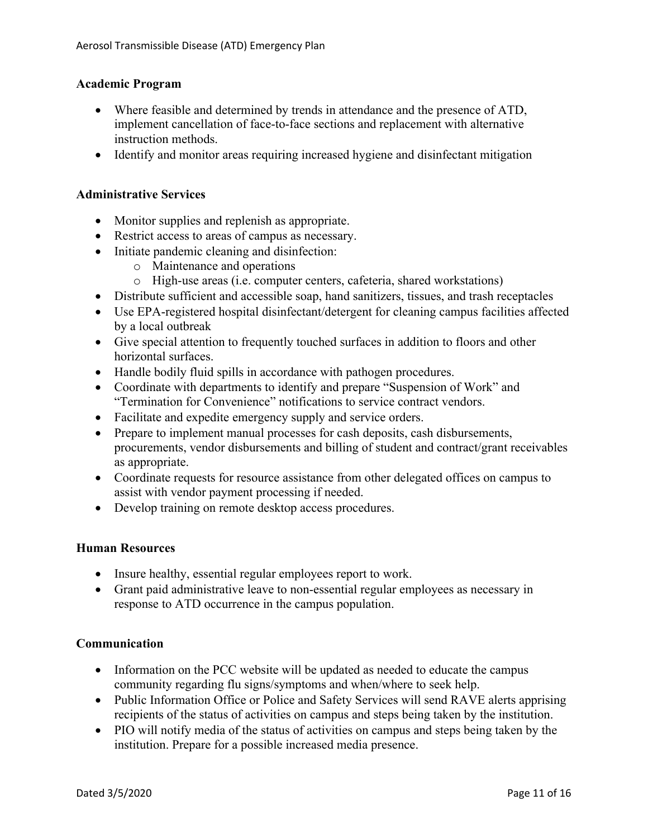# **Academic Program**

- Where feasible and determined by trends in attendance and the presence of ATD, implement cancellation of face-to-face sections and replacement with alternative instruction methods.
- Identify and monitor areas requiring increased hygiene and disinfectant mitigation

# **Administrative Services**

- Monitor supplies and replenish as appropriate.
- Restrict access to areas of campus as necessary.
- Initiate pandemic cleaning and disinfection:
	- o Maintenance and operations
	- o High-use areas (i.e. computer centers, cafeteria, shared workstations)
- Distribute sufficient and accessible soap, hand sanitizers, tissues, and trash receptacles
- Use EPA-registered hospital disinfectant/detergent for cleaning campus facilities affected by a local outbreak
- Give special attention to frequently touched surfaces in addition to floors and other horizontal surfaces.
- Handle bodily fluid spills in accordance with pathogen procedures.
- Coordinate with departments to identify and prepare "Suspension of Work" and "Termination for Convenience" notifications to service contract vendors.
- Facilitate and expedite emergency supply and service orders.
- Prepare to implement manual processes for cash deposits, cash disbursements, procurements, vendor disbursements and billing of student and contract/grant receivables as appropriate.
- Coordinate requests for resource assistance from other delegated offices on campus to assist with vendor payment processing if needed.
- Develop training on remote desktop access procedures.

#### **Human Resources**

- Insure healthy, essential regular employees report to work.
- Grant paid administrative leave to non-essential regular employees as necessary in response to ATD occurrence in the campus population.

# **Communication**

- Information on the PCC website will be updated as needed to educate the campus community regarding flu signs/symptoms and when/where to seek help.
- Public Information Office or Police and Safety Services will send RAVE alerts apprising recipients of the status of activities on campus and steps being taken by the institution.
- PIO will notify media of the status of activities on campus and steps being taken by the institution. Prepare for a possible increased media presence.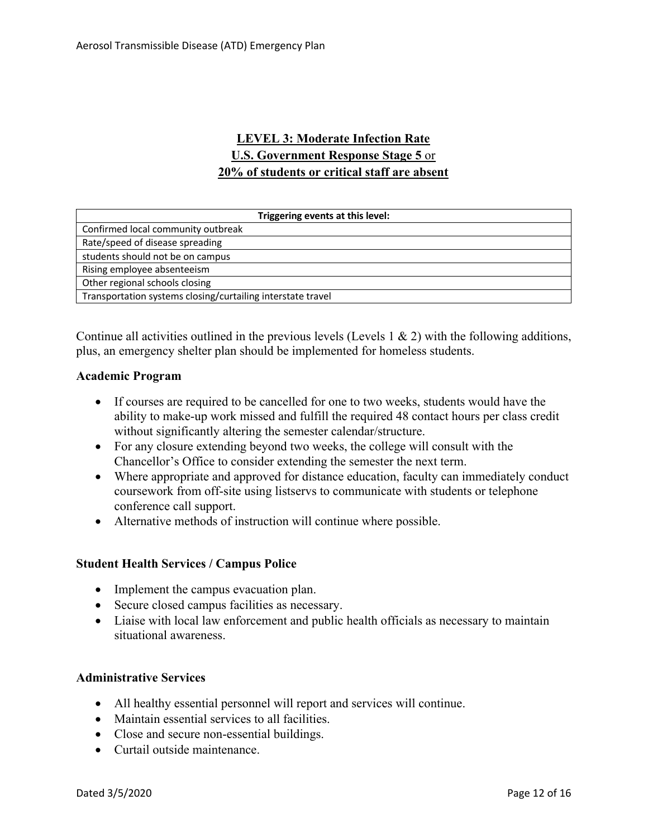# **LEVEL 3: Moderate Infection Rate U.S. Government Response Stage 5** or **20% of students or critical staff are absent**

| Triggering events at this level:                            |
|-------------------------------------------------------------|
| Confirmed local community outbreak                          |
| Rate/speed of disease spreading                             |
| students should not be on campus                            |
| Rising employee absenteeism                                 |
| Other regional schools closing                              |
| Transportation systems closing/curtailing interstate travel |

Continue all activities outlined in the previous levels (Levels 1  $\&$  2) with the following additions, plus, an emergency shelter plan should be implemented for homeless students.

# **Academic Program**

- If courses are required to be cancelled for one to two weeks, students would have the ability to make-up work missed and fulfill the required 48 contact hours per class credit without significantly altering the semester calendar/structure.
- For any closure extending beyond two weeks, the college will consult with the Chancellor's Office to consider extending the semester the next term.
- Where appropriate and approved for distance education, faculty can immediately conduct coursework from off-site using listservs to communicate with students or telephone conference call support.
- Alternative methods of instruction will continue where possible.

# **Student Health Services / Campus Police**

- Implement the campus evacuation plan.
- Secure closed campus facilities as necessary.
- Liaise with local law enforcement and public health officials as necessary to maintain situational awareness.

#### **Administrative Services**

- All healthy essential personnel will report and services will continue.
- Maintain essential services to all facilities.
- Close and secure non-essential buildings.
- Curtail outside maintenance.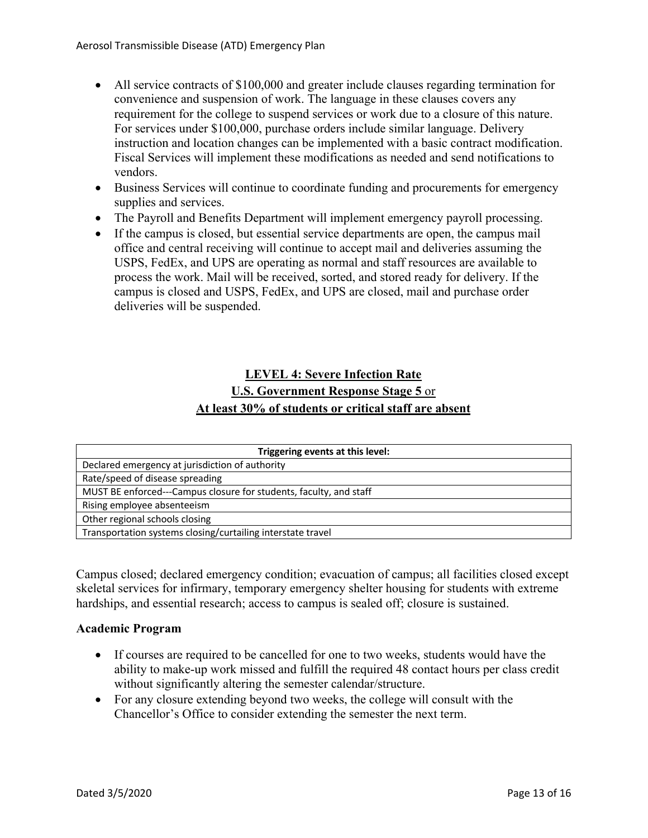- All service contracts of \$100,000 and greater include clauses regarding termination for convenience and suspension of work. The language in these clauses covers any requirement for the college to suspend services or work due to a closure of this nature. For services under \$100,000, purchase orders include similar language. Delivery instruction and location changes can be implemented with a basic contract modification. Fiscal Services will implement these modifications as needed and send notifications to vendors.
- Business Services will continue to coordinate funding and procurements for emergency supplies and services.
- The Payroll and Benefits Department will implement emergency payroll processing.
- If the campus is closed, but essential service departments are open, the campus mail office and central receiving will continue to accept mail and deliveries assuming the USPS, FedEx, and UPS are operating as normal and staff resources are available to process the work. Mail will be received, sorted, and stored ready for delivery. If the campus is closed and USPS, FedEx, and UPS are closed, mail and purchase order deliveries will be suspended.

# **LEVEL 4: Severe Infection Rate U.S. Government Response Stage 5** or **At least 30% of students or critical staff are absent**

| Triggering events at this level:                                   |
|--------------------------------------------------------------------|
| Declared emergency at jurisdiction of authority                    |
| Rate/speed of disease spreading                                    |
| MUST BE enforced---Campus closure for students, faculty, and staff |
| Rising employee absenteeism                                        |
| Other regional schools closing                                     |
| Transportation systems closing/curtailing interstate travel        |

Campus closed; declared emergency condition; evacuation of campus; all facilities closed except skeletal services for infirmary, temporary emergency shelter housing for students with extreme hardships, and essential research; access to campus is sealed off; closure is sustained.

# **Academic Program**

- If courses are required to be cancelled for one to two weeks, students would have the ability to make-up work missed and fulfill the required 48 contact hours per class credit without significantly altering the semester calendar/structure.
- For any closure extending beyond two weeks, the college will consult with the Chancellor's Office to consider extending the semester the next term.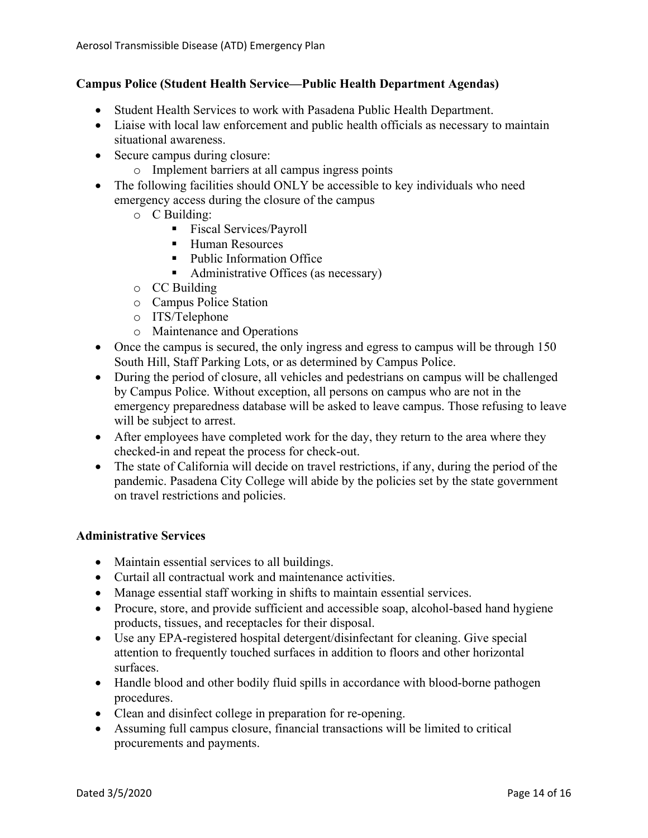# **Campus Police (Student Health Service—Public Health Department Agendas)**

- Student Health Services to work with Pasadena Public Health Department.
- Liaise with local law enforcement and public health officials as necessary to maintain situational awareness.
- Secure campus during closure:
	- o Implement barriers at all campus ingress points
- The following facilities should ONLY be accessible to key individuals who need emergency access during the closure of the campus
	- o C Building:
		- Fiscal Services/Payroll
		- Human Resources
		- Public Information Office
		- Administrative Offices (as necessary)
	- o CC Building
	- o Campus Police Station
	- o ITS/Telephone
	- o Maintenance and Operations
- Once the campus is secured, the only ingress and egress to campus will be through 150 South Hill, Staff Parking Lots, or as determined by Campus Police.
- During the period of closure, all vehicles and pedestrians on campus will be challenged by Campus Police. Without exception, all persons on campus who are not in the emergency preparedness database will be asked to leave campus. Those refusing to leave will be subject to arrest.
- After employees have completed work for the day, they return to the area where they checked-in and repeat the process for check-out.
- The state of California will decide on travel restrictions, if any, during the period of the pandemic. Pasadena City College will abide by the policies set by the state government on travel restrictions and policies.

# **Administrative Services**

- Maintain essential services to all buildings.
- Curtail all contractual work and maintenance activities.
- Manage essential staff working in shifts to maintain essential services.
- Procure, store, and provide sufficient and accessible soap, alcohol-based hand hygiene products, tissues, and receptacles for their disposal.
- Use any EPA-registered hospital detergent/disinfectant for cleaning. Give special attention to frequently touched surfaces in addition to floors and other horizontal surfaces.
- Handle blood and other bodily fluid spills in accordance with blood-borne pathogen procedures.
- Clean and disinfect college in preparation for re-opening.
- Assuming full campus closure, financial transactions will be limited to critical procurements and payments.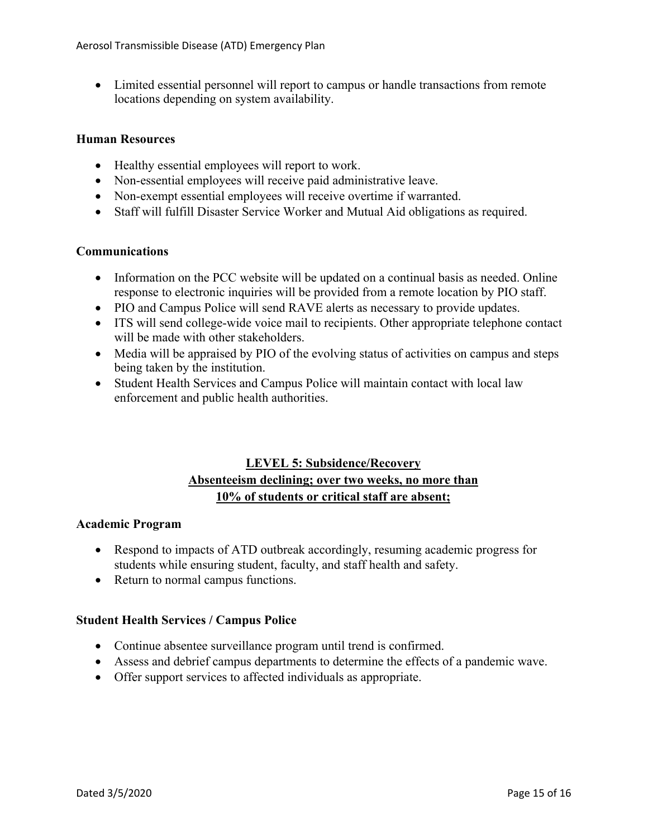• Limited essential personnel will report to campus or handle transactions from remote locations depending on system availability.

#### **Human Resources**

- Healthy essential employees will report to work.
- Non-essential employees will receive paid administrative leave.
- Non-exempt essential employees will receive overtime if warranted.
- Staff will fulfill Disaster Service Worker and Mutual Aid obligations as required.

#### **Communications**

- response to electronic inquiries will be provided from a remote location by PIO staff. • Information on the PCC website will be updated on a continual basis as needed. Online
- PIO and Campus Police will send RAVE alerts as necessary to provide updates.
- ITS will send college-wide voice mail to recipients. Other appropriate telephone contact will be made with other stakeholders.
- Media will be appraised by PIO of the evolving status of activities on campus and steps being taken by the institution.
- Student Health Services and Campus Police will maintain contact with local law enforcement and public health authorities.

# **Absenteeism declining; over two weeks, no more than 10% of students or critical staff are absent; LEVEL 5: Subsidence/Recovery**

#### **Academic Program**

- Respond to impacts of ATD outbreak accordingly, resuming academic progress for students while ensuring student, faculty, and staff health and safety.
- Return to normal campus functions.

# **Student Health Services / Campus Police**

- Continue absentee surveillance program until trend is confirmed.
- Assess and debrief campus departments to determine the effects of a pandemic wave.
- Offer support services to affected individuals as appropriate.